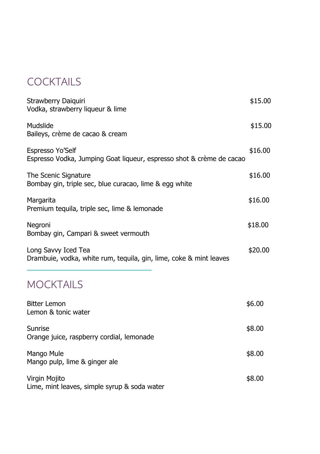# **COCKTAILS**

| Strawberry Daiquiri<br>Vodka, strawberry liqueur & lime                                   | \$15.00 |
|-------------------------------------------------------------------------------------------|---------|
| Mudslide<br>Baileys, crème de cacao & cream                                               | \$15.00 |
| Espresso Yo'Self<br>Espresso Vodka, Jumping Goat liqueur, espresso shot & crème de cacao  | \$16.00 |
| The Scenic Signature<br>Bombay gin, triple sec, blue curacao, lime & egg white            | \$16.00 |
| Margarita<br>Premium tequila, triple sec, lime & lemonade                                 | \$16.00 |
| Negroni<br>Bombay gin, Campari & sweet vermouth                                           | \$18.00 |
| Long Savvy Iced Tea<br>Drambuie, vodka, white rum, tequila, gin, lime, coke & mint leaves | \$20.00 |
| <b>MOCKTAILS</b>                                                                          |         |
| <b>Bitter Lemon</b><br>Lemon & tonic water                                                | \$6.00  |
| Sunrise<br>Orange juice, raspberry cordial, lemonade                                      | \$8.00  |
| Mango Mule<br>Mango pulp, lime & ginger ale                                               | \$8.00  |
| Virgin Mojito<br>Lime, mint leaves, simple syrup & soda water                             | \$8.00  |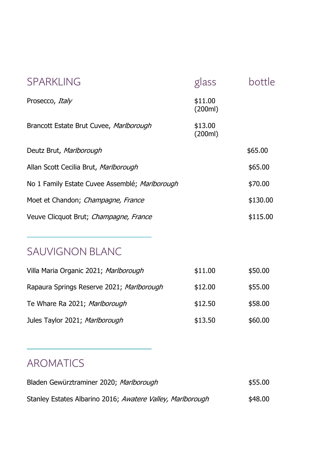| <b>SPARKLING</b>                               | glass              | bottle   |
|------------------------------------------------|--------------------|----------|
| Prosecco, Italy                                | \$11.00<br>(200ml) |          |
| Brancott Estate Brut Cuvee, Marlborough        | \$13.00<br>(200ml) |          |
| Deutz Brut, Marlborough                        |                    | \$65.00  |
| Allan Scott Cecilia Brut, Marlborough          |                    | \$65.00  |
| No 1 Family Estate Cuvee Assemblé; Marlborough |                    | \$70.00  |
| Moet et Chandon; Champagne, France             |                    | \$130.00 |
| Veuve Clicquot Brut; Champagne, France         |                    | \$115.00 |

#### SAUVIGNON BLANC

| Villa Maria Organic 2021; Marlborough     | \$11.00 | \$50.00 |
|-------------------------------------------|---------|---------|
| Rapaura Springs Reserve 2021; Marlborough | \$12.00 | \$55.00 |
| Te Whare Ra 2021; Marlborough             | \$12.50 | \$58.00 |
| Jules Taylor 2021; Marlborough            | \$13.50 | \$60.00 |

# AROMATICS

| Bladen Gewürztraminer 2020; Marlborough                    | \$55.00 |
|------------------------------------------------------------|---------|
| Stanley Estates Albarino 2016; Awatere Valley, Marlborough | \$48.00 |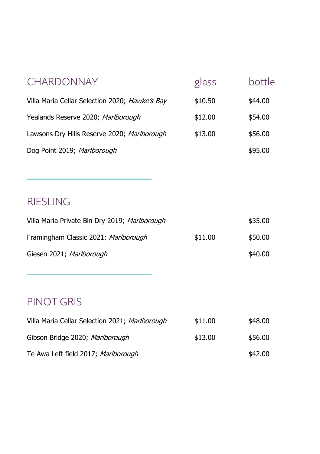| <b>CHARDONNAY</b>                              | glass   | bottle  |
|------------------------------------------------|---------|---------|
| Villa Maria Cellar Selection 2020; Hawke's Bay | \$10.50 | \$44.00 |
| Yealands Reserve 2020; Marlborough             | \$12.00 | \$54.00 |
| Lawsons Dry Hills Reserve 2020; Marlborough    | \$13.00 | \$56.00 |
| Dog Point 2019; Marlborough                    |         | \$95.00 |
|                                                |         |         |

### RIESLING

| Villa Maria Private Bin Dry 2019; Marlborough |         | \$35.00 |
|-----------------------------------------------|---------|---------|
| Framingham Classic 2021; Marlborough          | \$11.00 | \$50.00 |
| Giesen 2021; Marlborough                      |         | \$40.00 |

# PINOT GRIS

| Villa Maria Cellar Selection 2021; Marlborough | \$11.00 | \$48.00 |
|------------------------------------------------|---------|---------|
| Gibson Bridge 2020; Marlborough                | \$13.00 | \$56.00 |
| Te Awa Left field 2017; Marlborough            |         | \$42.00 |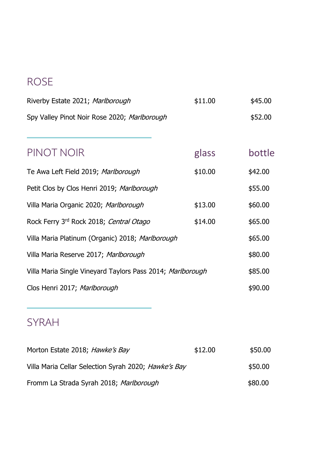# ROSE

| \$11.00                                                           | \$45.00 |
|-------------------------------------------------------------------|---------|
|                                                                   | \$52.00 |
|                                                                   |         |
| glass                                                             | bottle  |
| \$10.00                                                           | \$42.00 |
|                                                                   | \$55.00 |
| \$13.00                                                           | \$60.00 |
| \$14.00                                                           | \$65.00 |
| Villa Maria Platinum (Organic) 2018; Marlborough                  | \$65.00 |
|                                                                   | \$80.00 |
| Villa Maria Single Vineyard Taylors Pass 2014; <i>Marlborough</i> | \$85.00 |
|                                                                   | \$90.00 |
|                                                                   |         |

## SYRAH

| Morton Estate 2018; Hawke's Bay                      | \$12.00 | \$50.00 |
|------------------------------------------------------|---------|---------|
| Villa Maria Cellar Selection Syrah 2020; Hawke's Bay |         | \$50.00 |
| Fromm La Strada Syrah 2018; Marlborough              |         | \$80.00 |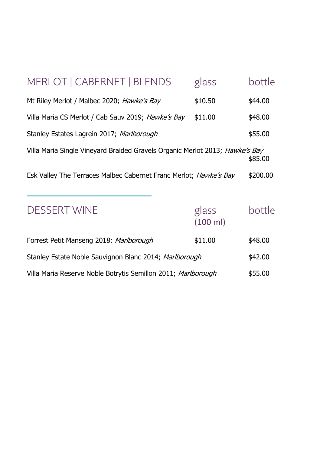| MERLOT   CABERNET   BLENDS                                                   | glass             | bottle   |
|------------------------------------------------------------------------------|-------------------|----------|
| Mt Riley Merlot / Malbec 2020; Hawke's Bay                                   | \$10.50           | \$44.00  |
| Villa Maria CS Merlot / Cab Sauv 2019; Hawke's Bay                           | \$11.00           | \$48.00  |
| Stanley Estates Lagrein 2017; Marlborough                                    |                   | \$55.00  |
| Villa Maria Single Vineyard Braided Gravels Organic Merlot 2013; Hawke's Bay |                   | \$85.00  |
| Esk Valley The Terraces Malbec Cabernet Franc Merlot; Hawke's Bay            |                   | \$200.00 |
| <b>DESSERT WINE</b>                                                          | glass<br>(100 ml) | bottle   |
| Forrest Petit Manseng 2018; Marlborough                                      | \$11.00           | \$48.00  |
| Stanley Estate Noble Sauvignon Blanc 2014; Marlborough                       |                   |          |
| Villa Maria Reserve Noble Botrytis Semillon 2011; Marlborough<br>\$55.00     |                   |          |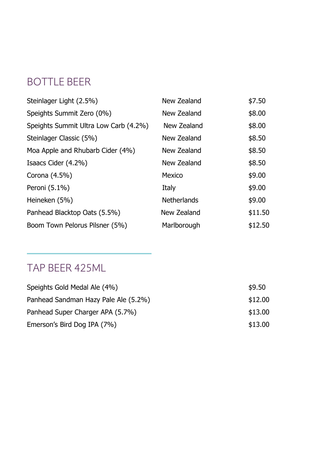### BOTTLE BEER

| Steinlager Light (2.5%)               | New Zealand | \$7.50  |
|---------------------------------------|-------------|---------|
| Speights Summit Zero (0%)             | New Zealand | \$8.00  |
| Speights Summit Ultra Low Carb (4.2%) | New Zealand | \$8.00  |
| Steinlager Classic (5%)               | New Zealand | \$8.50  |
| Moa Apple and Rhubarb Cider (4%)      | New Zealand | \$8.50  |
| Isaacs Cider (4.2%)                   | New Zealand | \$8.50  |
| Corona (4.5%)                         | Mexico      | \$9.00  |
| Peroni (5.1%)                         | Italy       | \$9.00  |
| Heineken (5%)                         | Netherlands | \$9.00  |
| Panhead Blacktop Oats (5.5%)          | New Zealand | \$11.50 |
| Boom Town Pelorus Pilsner (5%)        | Marlborough | \$12.50 |

### TAP BEER 425ML

| Speights Gold Medal Ale (4%)         | \$9.50  |
|--------------------------------------|---------|
| Panhead Sandman Hazy Pale Ale (5.2%) | \$12.00 |
| Panhead Super Charger APA (5.7%)     | \$13.00 |
| Emerson's Bird Dog IPA (7%)          | \$13.00 |